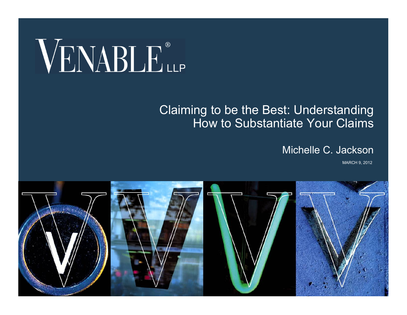# VENABLE®

#### Claiming to be the Best: Understanding How to Substantiate Your Claims

#### Michelle C. Jackson

MARCH 9, 2012

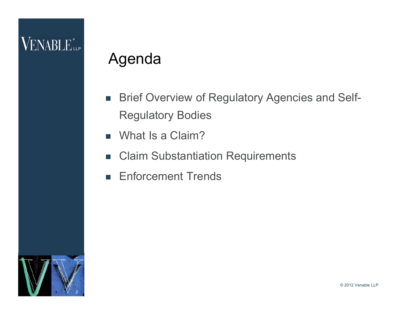### Agenda

- **Brief Overview of Regulatory Agencies and Self-**Regulatory Bodies
- What Is a Claim?
- Claim Substantiation Requirements
- **Enforcement Trends**

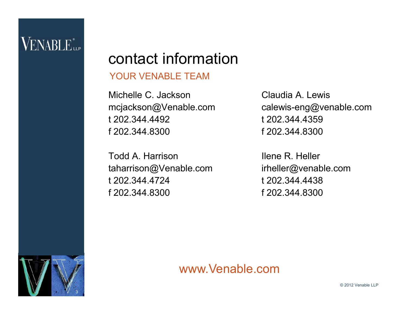3

### contact information

#### YOUR VENABLE TEAM

Michelle C. Jackson mcjackson@Venable.com t 202.344.4492 f 202.344.8300

Todd A. Harrison taharrison@Venable.com t 202.344.4724 f 202.344.8300

Claudia A. Lewis calewis-eng@venable.com t 202.344.4359 f 202.344.8300

Ilene R. Heller irheller@venable.com t 202.344.4438 f 202.344.8300

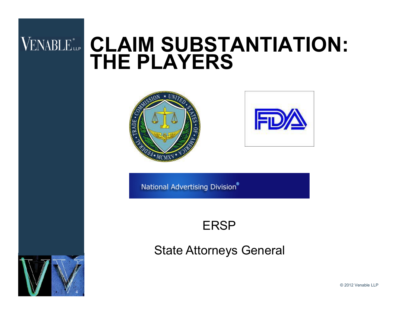# **VENABLE CLAIM SUBSTANTIATION: THE PLAYERS**





National Advertising Division®

#### ERSP

State Attorneys General



© 2012 Venable LLP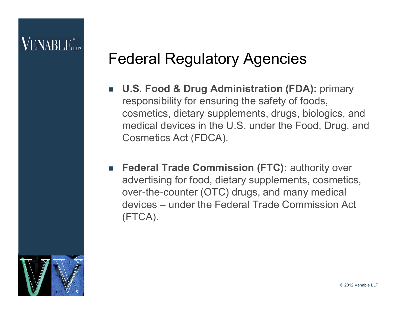### Federal Regulatory Agencies

- **U.S. Food & Drug Administration (FDA):** primary responsibility for ensuring the safety of foods, cosmetics, dietary supplements, drugs, biologics, and medical devices in the U.S. under the Food, Drug, and Cosmetics Act (FDCA).
- **Federal Trade Commission (FTC):** authority over advertising for food, dietary supplements, cosmetics, over-the-counter (OTC) drugs, and many medical devices – under the Federal Trade Commission Act (FTCA).

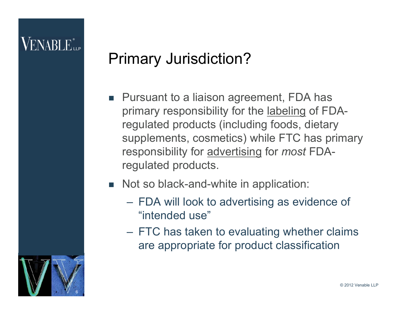### Primary Jurisdiction?

- Pursuant to a liaison agreement, FDA has primary responsibility for the labeling of FDAregulated products (including foods, dietary supplements, cosmetics) while FTC has primary responsibility for advertising for *most* FDAregulated products.
- Not so black-and-white in application:
	- FDA will look to advertising as evidence of "intended use"
	- FTC has taken to evaluating whether claims are appropriate for product classification

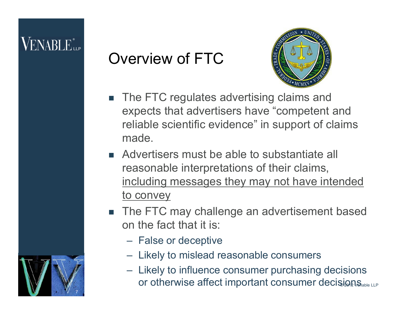7

### Overview of FTC



- The FTC regulates advertising claims and expects that advertisers have "competent and reliable scientific evidence" in support of claims made.
- Advertisers must be able to substantiate all reasonable interpretations of their claims, including messages they may not have intended to convey
- The FTC may challenge an advertisement based on the fact that it is:
	- False or deceptive
	- Likely to mislead reasonable consumers
	- Likely to influence consumer purchasing decisions or otherwise affect important consumer decisions.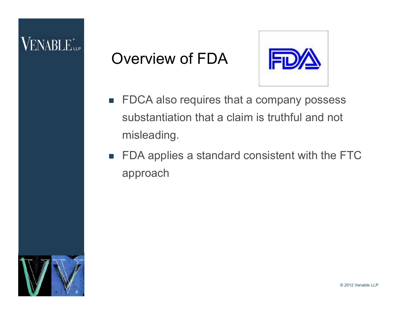### Overview of FDA



- **FDCA also requires that a company possess** substantiation that a claim is truthful and not misleading.
- FDA applies a standard consistent with the FTC approach



© 2012 Venable LLP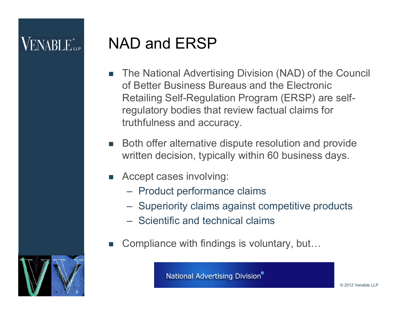### NAD and ERSP

- The National Advertising Division (NAD) of the Council of Better Business Bureaus and the Electronic Retailing Self-Regulation Program (ERSP) are selfregulatory bodies that review factual claims for truthfulness and accuracy.
- Both offer alternative dispute resolution and provide written decision, typically within 60 business days.
- Accept cases involving:
	- Product performance claims
	- Superiority claims against competitive products
	- Scientific and technical claims
- Compliance with findings is voluntary, but…



**National Advertising Division®**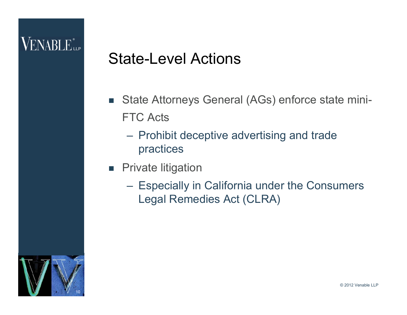### State-Level Actions

- State Attorneys General (AGs) enforce state mini-FTC Acts
	- Prohibit deceptive advertising and trade practices
- **Private litigation** 
	- Especially in California under the Consumers Legal Remedies Act (CLRA)

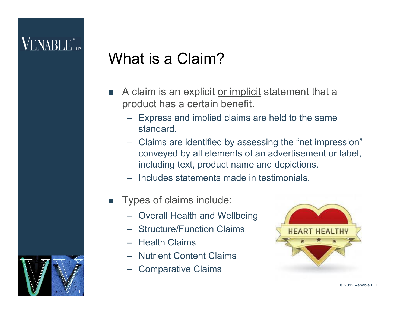11

### What is a Claim?

- A claim is an explicit or implicit statement that a product has a certain benefit.
	- Express and implied claims are held to the same standard.
	- Claims are identified by assessing the "net impression" conveyed by all elements of an advertisement or label, including text, product name and depictions.
	- Includes statements made in testimonials.
- **Types of claims include:** 
	- Overall Health and Wellbeing
	- Structure/Function Claims
	- Health Claims
	- Nutrient Content Claims
	- Comparative Claims

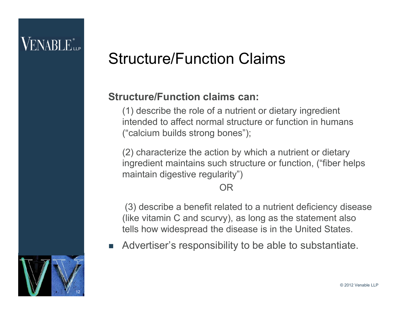### Structure/Function Claims

#### **Structure/Function claims can:**

(1) describe the role of a nutrient or dietary ingredient intended to affect normal structure or function in humans ("calcium builds strong bones");

(2) characterize the action by which a nutrient or dietary ingredient maintains such structure or function, ("fiber helps maintain digestive regularity")

#### OR

(3) describe a benefit related to a nutrient deficiency disease (like vitamin C and scurvy), as long as the statement also tells how widespread the disease is in the United States.

Advertiser's responsibility to be able to substantiate.

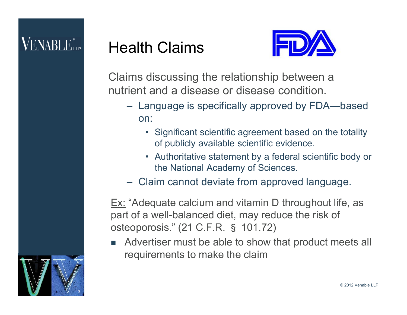### Health Claims



Claims discussing the relationship between a nutrient and a disease or disease condition.

- Language is specifically approved by FDA—based on:
	- Significant scientific agreement based on the totality of publicly available scientific evidence.
	- Authoritative statement by a federal scientific body or the National Academy of Sciences.
- Claim cannot deviate from approved language.

**Ex:** "Adequate calcium and vitamin D throughout life, as part of a well-balanced diet, may reduce the risk of osteoporosis." (21 C.F.R. § 101.72)

 Advertiser must be able to show that product meets all requirements to make the claim

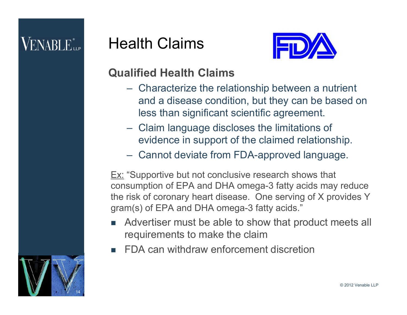

#### **Qualified Health Claims**

Health Claims

- Characterize the relationship between a nutrient and a disease condition, but they can be based on less than significant scientific agreement.
- Claim language discloses the limitations of evidence in support of the claimed relationship.
- Cannot deviate from FDA-approved language.

Ex: "Supportive but not conclusive research shows that consumption of EPA and DHA omega-3 fatty acids may reduce the risk of coronary heart disease. One serving of X provides Y gram(s) of EPA and DHA omega-3 fatty acids."

- Advertiser must be able to show that product meets all requirements to make the claim
- FDA can withdraw enforcement discretion

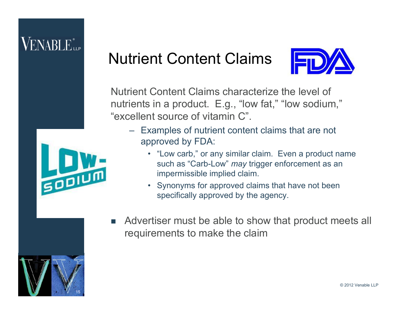### Nutrient Content Claims



Nutrient Content Claims characterize the level of nutrients in a product. E.g., "low fat," "low sodium," "excellent source of vitamin C".

- Examples of nutrient content claims that are not approved by FDA:
	- "Low carb," or any similar claim. Even a product name such as "Carb-Low" *may* trigger enforcement as an impermissible implied claim.
	- Synonyms for approved claims that have not been specifically approved by the agency.



**SODIUM** 

 Advertiser must be able to show that product meets all requirements to make the claim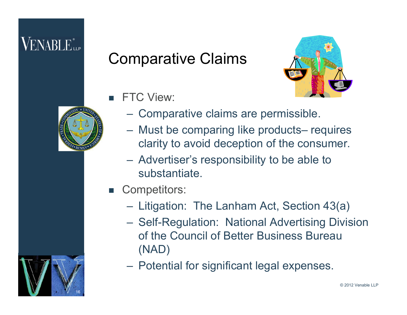### Comparative Claims





- **FTC View:** 
	- Comparative claims are permissible.
	- Must be comparing like products– requires clarity to avoid deception of the consumer.
	- Advertiser's responsibility to be able to substantiate.
- Competitors:
	- Litigation: The Lanham Act, Section 43(a)
	- Self-Regulation: National Advertising Division of the Council of Better Business Bureau (NAD)
	- Potential for significant legal expenses.

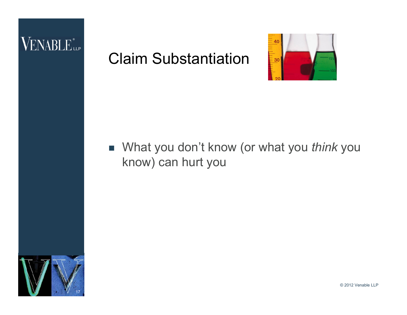### VENABLE<sup>®</sup>

### Claim Substantiation



#### ■ What you don't know (or what you *think* you know) can hurt you



© 2012 Venable LLP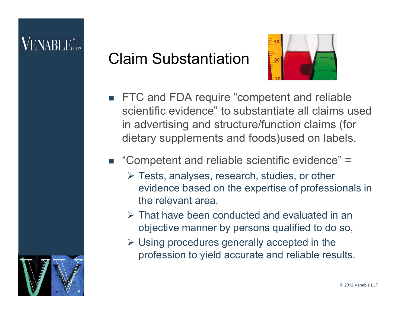### ENABLE...

### Claim Substantiation



**FTC and FDA require "competent and reliable** scientific evidence" to substantiate all claims used in advertising and structure/function claims (for dietary supplements and foods)used on labels.

#### ■ "Competent and reliable scientific evidence" =

- Tests, analyses, research, studies, or other evidence based on the expertise of professionals in the relevant area,
- That have been conducted and evaluated in an objective manner by persons qualified to do so,
- $\triangleright$  Using procedures generally accepted in the profession to yield accurate and reliable results.

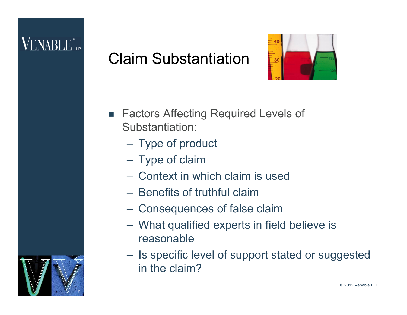19

### Claim Substantiation



- Factors Affecting Required Levels of Substantiation:
	- Type of product
	- Type of claim
	- Context in which claim is used
	- Benefits of truthful claim
	- Consequences of false claim
	- What qualified experts in field believe is reasonable
	- Is specific level of support stated or suggested in the claim?

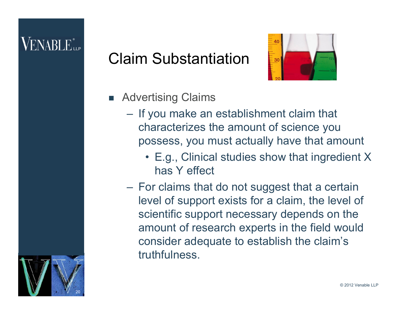### Claim Substantiation



- **Advertising Claims** 
	- If you make an establishment claim that characterizes the amount of science you possess, you must actually have that amount
		- E.g., Clinical studies show that ingredient X has Y effect
	- For claims that do not suggest that a certain level of support exists for a claim, the level of scientific support necessary depends on the amount of research experts in the field would consider adequate to establish the claim's truthfulness.

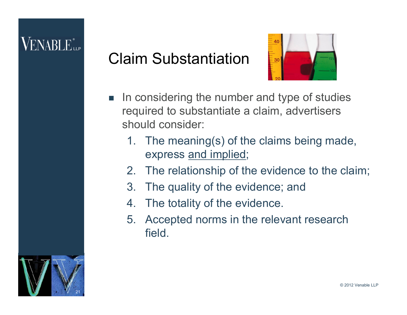### Claim Substantiation



- In considering the number and type of studies required to substantiate a claim, advertisers should consider:
	- 1. The meaning(s) of the claims being made, express and implied;
	- 2. The relationship of the evidence to the claim;
	- 3. The quality of the evidence; and
	- 4. The totality of the evidence.
	- 5. Accepted norms in the relevant research field.

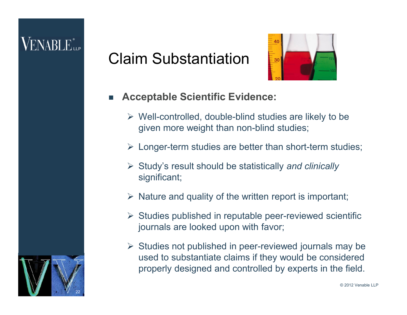### ENABLE...

### Claim Substantiation



#### **Acceptable Scientific Evidence:**

- $\triangleright$  Well-controlled, double-blind studies are likely to be given more weight than non-blind studies;
- $\triangleright$  Longer-term studies are better than short-term studies;
- Study's result should be statistically *and clinically* significant;
- $\triangleright$  Nature and quality of the written report is important;
- $\triangleright$  Studies published in reputable peer-reviewed scientific journals are looked upon with favor;
- $\triangleright$  Studies not published in peer-reviewed journals may be used to substantiate claims if they would be considered properly designed and controlled by experts in the field.

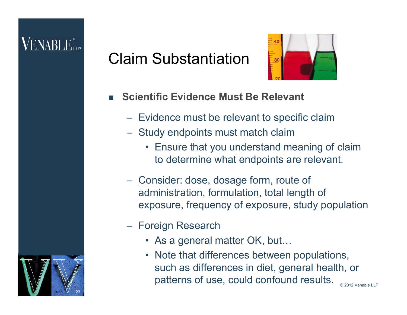### ENABLE...

23

### Claim Substantiation



#### **Scientific Evidence Must Be Relevant**

- Evidence must be relevant to specific claim
- Study endpoints must match claim
	- Ensure that you understand meaning of claim to determine what endpoints are relevant.
- Consider: dose, dosage form, route of administration, formulation, total length of exposure, frequency of exposure, study population
- Foreign Research
	- As a general matter OK, but…
	- Note that differences between populations, such as differences in diet, general health, or patterns of use, could confound results.

© 2012 Venable LLP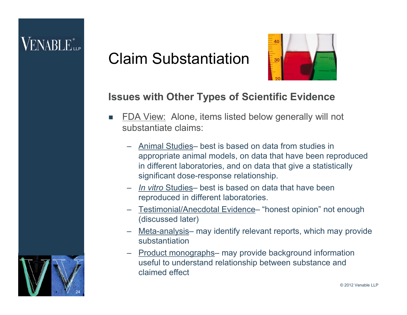### Claim Substantiation



#### **Issues with Other Types of Scientific Evidence**

- FDA View: Alone, items listed below generally will not substantiate claims:
	- Animal Studies– best is based on data from studies in appropriate animal models, on data that have been reproduced in different laboratories, and on data that give a statistically significant dose-response relationship.
	- *In vitro* Studies– best is based on data that have been reproduced in different laboratories.
	- Testimonial/Anecdotal Evidence– "honest opinion" not enough (discussed later)
	- Meta-analysis– may identify relevant reports, which may provide substantiation
	- Product monographs– may provide background information useful to understand relationship between substance and claimed effect

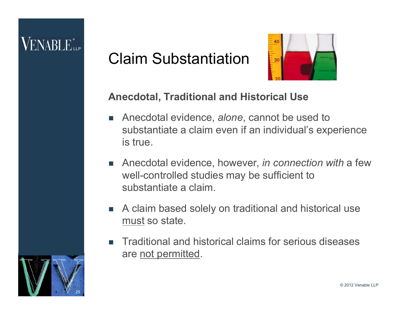### Claim Substantiation



#### **Anecdotal, Traditional and Historical Use**

- Anecdotal evidence, *alone*, cannot be used to substantiate a claim even if an individual's experience is true.
- Anecdotal evidence, however, *in connection with* a few well-controlled studies may be sufficient to substantiate a claim.
- A claim based solely on traditional and historical use must so state.
- Traditional and historical claims for serious diseases are not permitted.

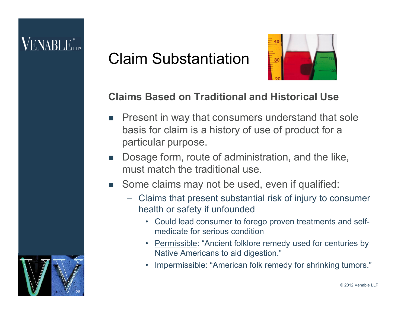### Claim Substantiation



#### **Claims Based on Traditional and Historical Use**

- Present in way that consumers understand that sole basis for claim is a history of use of product for a particular purpose.
- Dosage form, route of administration, and the like, must match the traditional use.
- Some claims may not be used, even if qualified:
	- Claims that present substantial risk of injury to consumer health or safety if unfounded
		- Could lead consumer to forego proven treatments and selfmedicate for serious condition
		- Permissible: "Ancient folklore remedy used for centuries by Native Americans to aid digestion."
		- Impermissible: "American folk remedy for shrinking tumors."

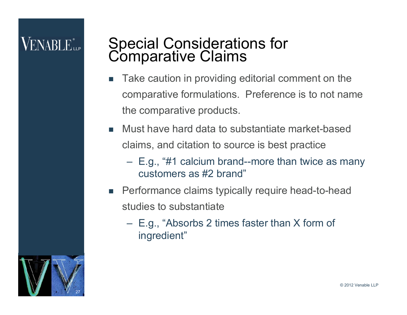### Special Considerations for **Comparative Claims**

- Take caution in providing editorial comment on the comparative formulations. Preference is to not name the comparative products.
- **Nust have hard data to substantiate market-based** claims, and citation to source is best practice
	- E.g., "#1 calcium brand--more than twice as many customers as #2 brand"
- **Performance claims typically require head-to-head** studies to substantiate
	- E.g., "Absorbs 2 times faster than X form of ingredient"

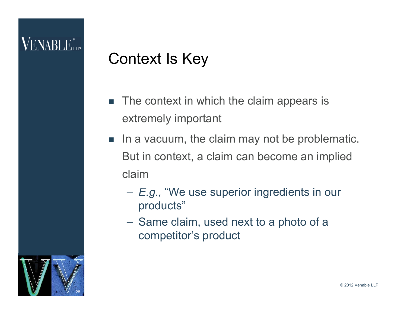### Context Is Key

- The context in which the claim appears is extremely important
- In a vacuum, the claim may not be problematic. But in context, a claim can become an implied claim
	- *E.g.,* "We use superior ingredients in our products"
	- Same claim, used next to a photo of a competitor's product

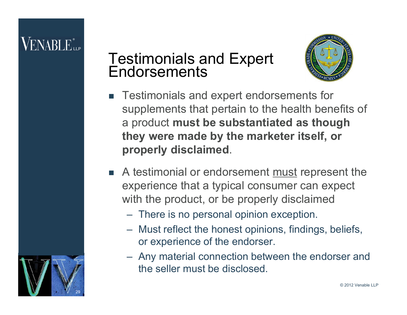29

### Testimonials and Expert **Endorsements**



- Testimonials and expert endorsements for supplements that pertain to the health benefits of a product **must be substantiated as though they were made by the marketer itself, or properly disclaimed**.
- A testimonial or endorsement must represent the experience that a typical consumer can expect with the product, or be properly disclaimed
	- There is no personal opinion exception.
	- Must reflect the honest opinions, findings, beliefs, or experience of the endorser.
	- Any material connection between the endorser and the seller must be disclosed.

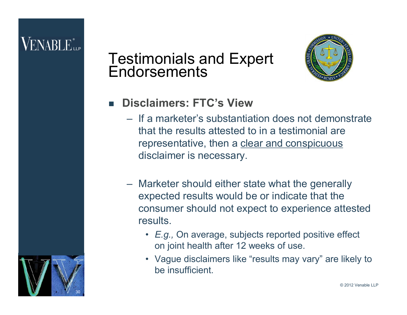30

#### Testimonials and Expert **Endorsements**



#### **Disclaimers: FTC's View**

- If a marketer's substantiation does not demonstrate that the results attested to in a testimonial are representative, then a clear and conspicuous disclaimer is necessary.
- Marketer should either state what the generally expected results would be or indicate that the consumer should not expect to experience attested results.
	- *E.g.,* On average, subjects reported positive effect on joint health after 12 weeks of use.
	- Vague disclaimers like "results may vary" are likely to be insufficient.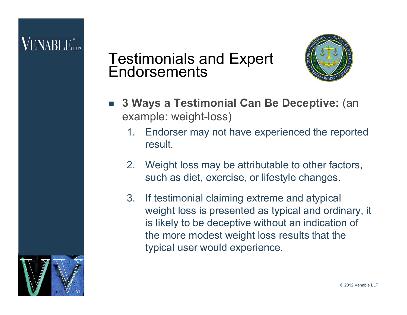#### Testimonials and Expert **Endorsements**



- **3 Ways a Testimonial Can Be Deceptive:** (an example: weight-loss)
	- 1. Endorser may not have experienced the reported result.
	- 2. Weight loss may be attributable to other factors, such as diet, exercise, or lifestyle changes.
	- 3. If testimonial claiming extreme and atypical weight loss is presented as typical and ordinary, it is likely to be deceptive without an indication of the more modest weight loss results that the typical user would experience.

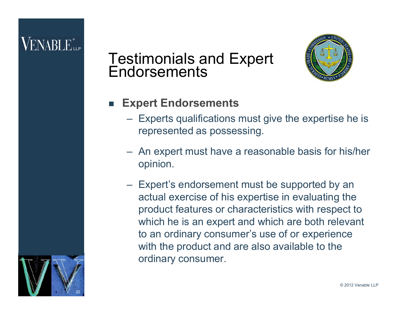#### Testimonials and Expert **Endorsements**



- **Expert Endorsements**
	- Experts qualifications must give the expertise he is represented as possessing.
	- An expert must have a reasonable basis for his/her opinion.
	- Expert's endorsement must be supported by an actual exercise of his expertise in evaluating the product features or characteristics with respect to which he is an expert and which are both relevant to an ordinary consumer's use of or experience with the product and are also available to the ordinary consumer.

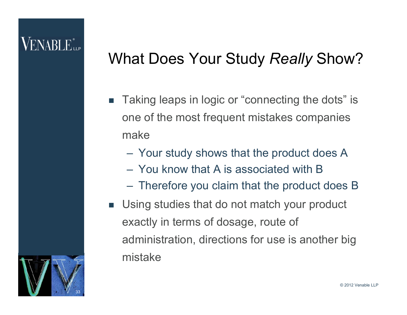### What Does Your Study *Really* Show?

- Taking leaps in logic or "connecting the dots" is one of the most frequent mistakes companies make
	- Your study shows that the product does A
	- You know that A is associated with B
	- Therefore you claim that the product does B
- **Using studies that do not match your product** exactly in terms of dosage, route of administration, directions for use is another big mistake

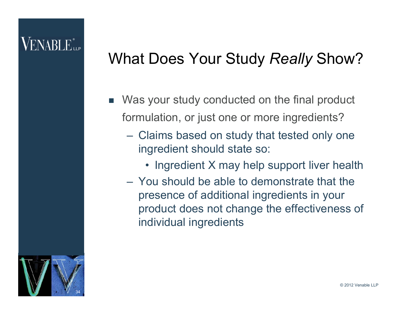### VENABLE"

### What Does Your Study *Really* Show?

- Was your study conducted on the final product formulation, or just one or more ingredients?
	- Claims based on study that tested only one ingredient should state so:
		- Ingredient X may help support liver health
	- You should be able to demonstrate that the presence of additional ingredients in your product does not change the effectiveness of individual ingredients

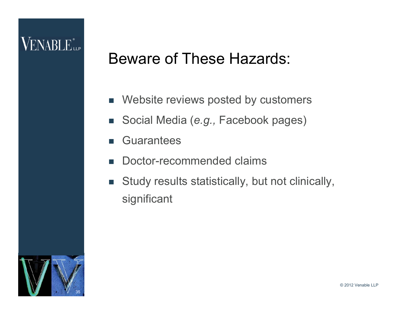### Beware of These Hazards:

- Website reviews posted by customers
- Social Media (*e.g.,* Facebook pages)
- **Guarantees**
- Doctor-recommended claims
- **Study results statistically, but not clinically,** significant

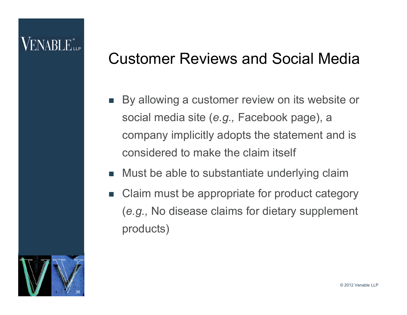### VENABLE"

### Customer Reviews and Social Media

- By allowing a customer review on its website or social media site (*e.g.,* Facebook page), a company implicitly adopts the statement and is considered to make the claim itself
- Must be able to substantiate underlying claim
- Claim must be appropriate for product category (*e.g.,* No disease claims for dietary supplement products)

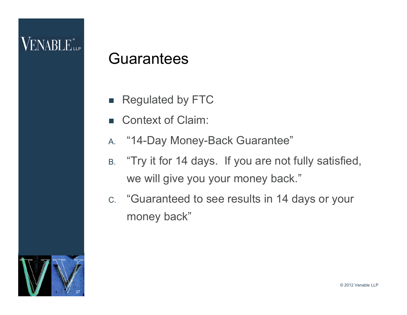### **Guarantees**

- Regulated by FTC
- Context of Claim:
- A. "14-Day Money-Back Guarantee"
- B. "Try it for 14 days. If you are not fully satisfied, we will give you your money back."
- C. "Guaranteed to see results in 14 days or your money back"

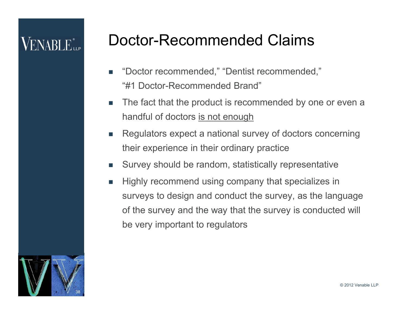# VENABLE"

### Doctor-Recommended Claims

- "Doctor recommended," "Dentist recommended," "#1 Doctor-Recommended Brand"
- The fact that the product is recommended by one or even a handful of doctors is not enough
- **Regulators expect a national survey of doctors concerning** their experience in their ordinary practice
- Survey should be random, statistically representative
- Highly recommend using company that specializes in surveys to design and conduct the survey, as the language of the survey and the way that the survey is conducted will be very important to regulators

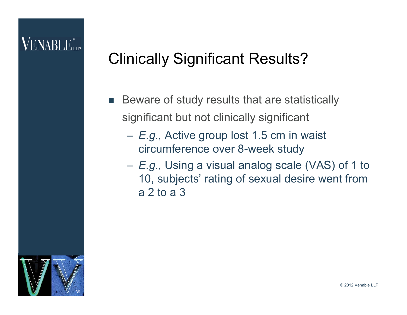### Clinically Significant Results?

- Beware of study results that are statistically significant but not clinically significant
	- *E.g.,* Active group lost 1.5 cm in waist circumference over 8-week study
	- *E.g.,* Using a visual analog scale (VAS) of 1 to 10, subjects' rating of sexual desire went from a 2 to a 3

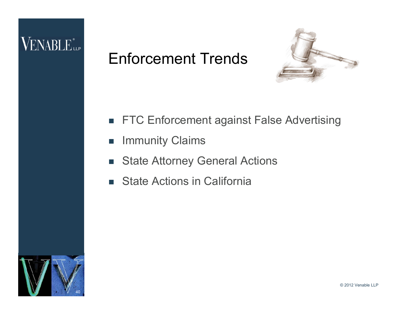### Enforcement Trends



- **FTC Enforcement against False Advertising**
- **Immunity Claims**
- **State Attorney General Actions**
- **State Actions in California**

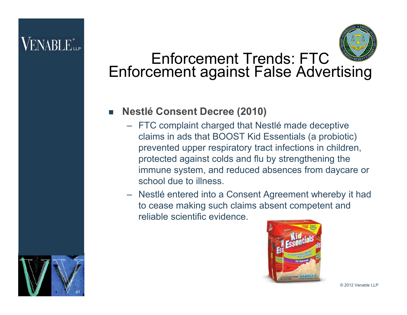41



### Enforcement Trends: FTC Enforcement against False Advertising

#### **Nestlé Consent Decree (2010)**

- FTC complaint charged that Nestlé made deceptive claims in ads that BOOST Kid Essentials (a probiotic) prevented upper respiratory tract infections in children, protected against colds and flu by strengthening the immune system, and reduced absences from daycare or school due to illness.
- Nestlé entered into a Consent Agreement whereby it had to cease making such claims absent competent and reliable scientific evidence.



© 2012 Venable LLP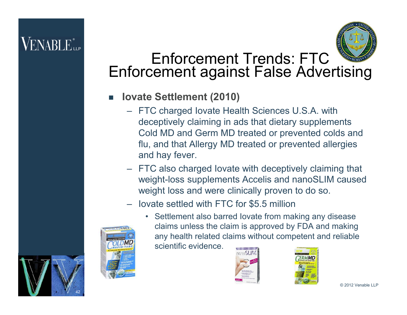

### Enforcement Trends: FTC Enforcement against False Advertising

#### **Iovate Settlement (2010)**

- FTC charged Iovate Health Sciences U.S.A. with deceptively claiming in ads that dietary supplements Cold MD and Germ MD treated or prevented colds and flu, and that Allergy MD treated or prevented allergies and hay fever.
- FTC also charged Iovate with deceptively claiming that weight-loss supplements Accelis and nanoSLIM caused weight loss and were clinically proven to do so.
- Iovate settled with FTC for \$5.5 million



42

• Settlement also barred Iovate from making any disease claims unless the claim is approved by FDA and making any health related claims without competent and reliable scientific evidence.





© 2012 Venable LLP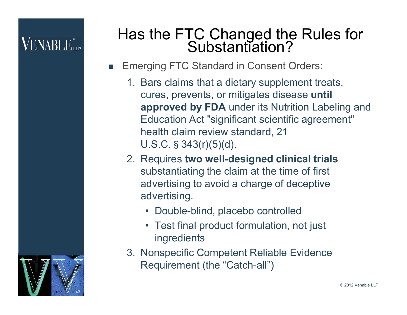43

### Has the FTC Changed the Rules for Substantiation?

- Emerging FTC Standard in Consent Orders:
	- 1. Bars claims that a dietary supplement treats, cures, prevents, or mitigates disease **until approved by FDA** under its Nutrition Labeling and Education Act "significant scientific agreement" health claim review standard, 21 U.S.C.§343(r)(5)(d).
	- 2. Requires **two well-designed clinical trials**  substantiating the claim at the time of first advertising to avoid a charge of deceptive advertising.
		- Double-blind, placebo controlled
		- Test final product formulation, not just ingredients
	- 3. Nonspecific Competent Reliable Evidence Requirement (the "Catch-all")

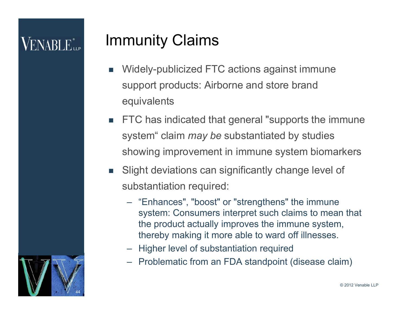### Immunity Claims

- Widely-publicized FTC actions against immune support products: Airborne and store brand equivalents
- **FTC** has indicated that general "supports the immune system" claim *may be* substantiated by studies showing improvement in immune system biomarkers
- **Slight deviations can significantly change level of** substantiation required:
	- "Enhances", "boost" or "strengthens" the immune system: Consumers interpret such claims to mean that the product actually improves the immune system, thereby making it more able to ward off illnesses.
	- Higher level of substantiation required
	- Problematic from an FDA standpoint (disease claim)

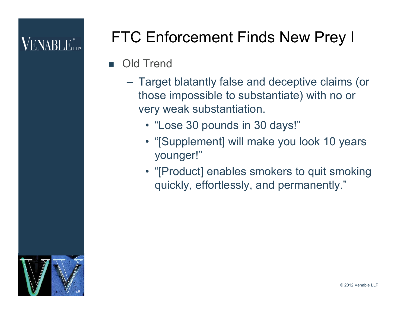# FTC Enforcement Finds New Prey I

#### **Old Trend**

- Target blatantly false and deceptive claims (or those impossible to substantiate) with no or very weak substantiation.
	- "Lose 30 pounds in 30 days!"
	- "[Supplement] will make you look 10 years younger!"
	- "[Product] enables smokers to quit smoking quickly, effortlessly, and permanently."

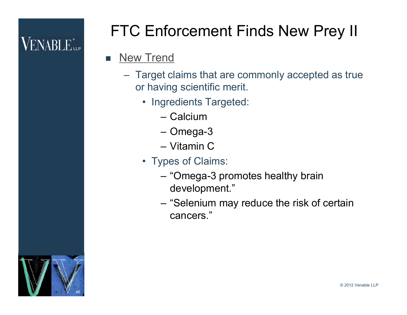# FTC Enforcement Finds New Prey II

#### **New Trend**

- Target claims that are commonly accepted as true or having scientific merit.
	- Ingredients Targeted:
		- Calcium
		- Omega-3
		- Vitamin C
	- Types of Claims:
		- "Omega-3 promotes healthy brain development."
		- "Selenium may reduce the risk of certain cancers."

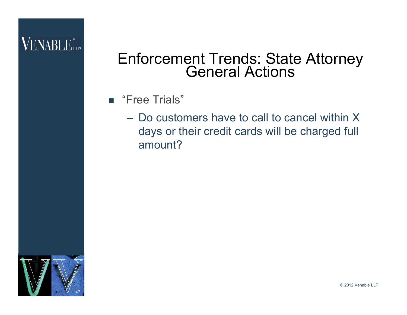#### Enforcement Trends: State Attorney General Actions

- "Free Trials"
	- Do customers have to call to cancel within X days or their credit cards will be charged full amount?



© 2012 Venable LLP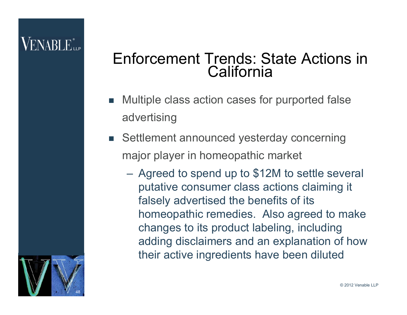### VENABLE"

### Enforcement Trends: State Actions in **California**

- Multiple class action cases for purported false advertising
- Settlement announced yesterday concerning major player in homeopathic market
	- Agreed to spend up to \$12M to settle several putative consumer class actions claiming it falsely advertised the benefits of its homeopathic remedies. Also agreed to make changes to its product labeling, including adding disclaimers and an explanation of how their active ingredients have been diluted

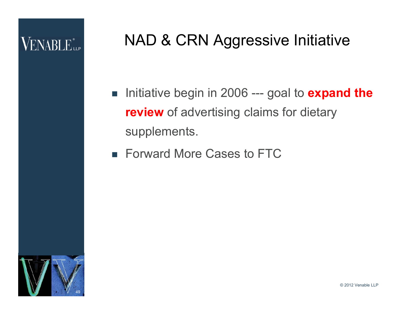### NAD & CRN Aggressive Initiative

- Initiative begin in 2006 --- goal to **expand the review** of advertising claims for dietary supplements.
- Forward More Cases to FTC

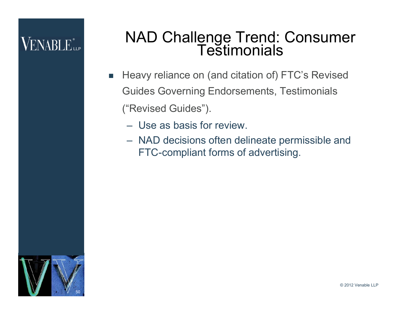#### NAD Challenge Trend: Consumer **Testimonials**

- Heavy reliance on (and citation of) FTC's Revised Guides Governing Endorsements, Testimonials ("Revised Guides").
	- Use as basis for review.
	- NAD decisions often delineate permissible and FTC-compliant forms of advertising.



© 2012 Venable LLP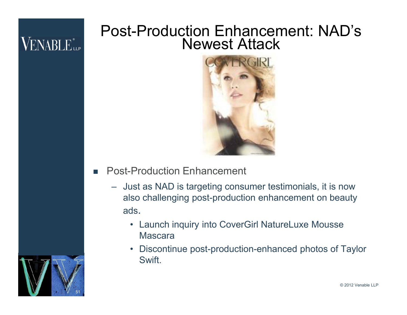#### Post-Production Enhancement: NAD's Newest Attack



- **Post-Production Enhancement** 
	- Just as NAD is targeting consumer testimonials, it is now also challenging post-production enhancement on beauty ads.
		- Launch inquiry into CoverGirl NatureLuxe Mousse Mascara
		- Discontinue post-production-enhanced photos of Taylor Swift.

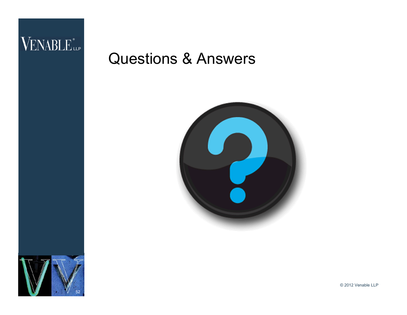# VENABLE<sup>®</sup>

### Questions & Answers





© 2012 Venable LLP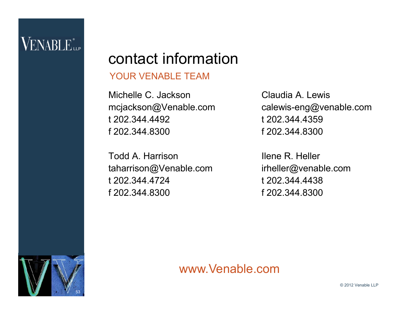53

### contact information

#### YOUR VENABLE TEAM

Michelle C. Jackson mcjackson@Venable.com t 202.344.4492 f 202.344.8300

Todd A. Harrison taharrison@Venable.com t 202.344.4724 f 202.344.8300

Claudia A. Lewis calewis-eng@venable.com t 202.344.4359 f 202.344.8300

Ilene R. Heller irheller@venable.com t 202.344.4438 f 202.344.8300